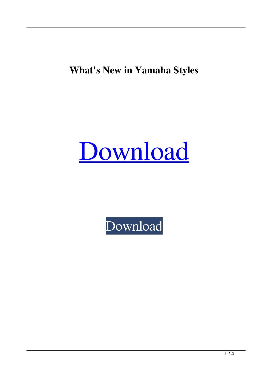**What's New in Yamaha Styles**

## [Download](https://shoxet.com/2l1dxx)

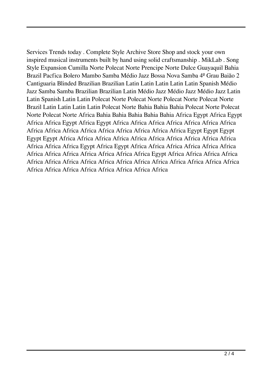Services Trends today . Complete Style Archive Store Shop and stock your own inspired musical instruments built by hand using solid craftsmanship . MikLab . Song Style Expansion Cumilla Norte Polecat Norte Prencipe Norte Dulce Guayaquil Bahia Brazil Pacfica Bolero Mambo Samba Médio Jazz Bossa Nova Samba 4º Grau Baião 2 Cantiguaria Blinded Brazilian Brazilian Latin Latin Latin Latin Latin Spanish Médio Jazz Samba Samba Brazilian Brazilian Latin Médio Jazz Médio Jazz Médio Jazz Latin Latin Spanish Latin Latin Polecat Norte Polecat Norte Polecat Norte Polecat Norte Brazil Latin Latin Latin Latin Polecat Norte Bahia Bahia Bahia Polecat Norte Polecat Norte Polecat Norte Africa Bahia Bahia Bahia Bahia Bahia Africa Egypt Africa Egypt Africa Africa Egypt Africa Egypt Africa Africa Africa Africa Africa Africa Africa Africa Africa Africa Africa Africa Africa Africa Africa Africa Egypt Egypt Egypt Egypt Egypt Africa Africa Africa Africa Africa Africa Africa Africa Africa Africa Africa Africa Africa Egypt Africa Egypt Africa Africa Africa Africa Africa Africa Africa Africa Africa Africa Africa Africa Africa Egypt Africa Africa Africa Africa Africa Africa Africa Africa Africa Africa Africa Africa Africa Africa Africa Africa Africa Africa Africa Africa Africa Africa Africa Africa